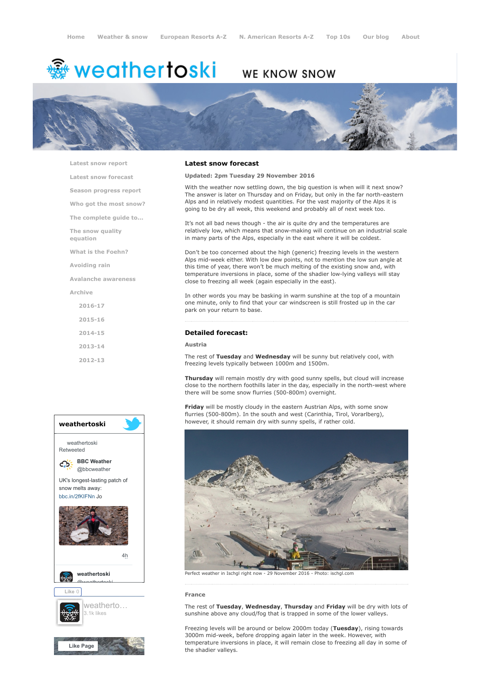# <del>鑾</del> weathertoski

# WE KNOW SNOW



[Latest snow report](https://www.weathertoski.co.uk/weather-snow/latest-snow-report/)

[Latest snow forecast](https://www.weathertoski.co.uk/weather-snow/latest-snow-forecast/)

[Season progress report](https://www.weathertoski.co.uk/weather-snow/season-progress-report/)

[Who got the most snow?](https://www.weathertoski.co.uk/weather-snow/who-got-the-most-snow/)

[The complete guide to...](https://www.weathertoski.co.uk/weather-snow/the-complete-guide-to/)

[The snow quality](https://www.weathertoski.co.uk/weather-snow/the-snow-quality-equation/)

[What is the Foehn?](https://www.weathertoski.co.uk/weather-snow/what-is-the-foehn/)

[Avoiding rain](https://www.weathertoski.co.uk/weather-snow/avoiding-rain/)

equation

[Avalanche awareness](https://www.weathertoski.co.uk/weather-snow/avalanche-awareness/)

[Archive](https://www.weathertoski.co.uk/weather-snow/archive/)

- [2016-17](https://www.weathertoski.co.uk/weather-snow/archive/2016-17/) [2015-16](https://www.weathertoski.co.uk/weather-snow/archive/2015-16/) [2014-15](https://www.weathertoski.co.uk/weather-snow/archive/2014-15/)
- [2013-14](https://www.weathertoski.co.uk/weather-snow/archive/2013-14/)

[2012-13](https://www.weathertoski.co.uk/weather-snow/archive/2012-13/)



# Latest snow forecast

Updated: 2pm Tuesday 29 November 2016

With the weather now settling down, the big question is when will it next snow? The answer is later on Thursday and on Friday, but only in the far north-eastern Alps and in relatively modest quantities. For the vast majority of the Alps it is going to be dry all week, this weekend and probably all of next week too.

It's not all bad news though - the air is quite dry and the temperatures are relatively low, which means that snow-making will continue on an industrial scale in many parts of the Alps, especially in the east where it will be coldest.

Don't be too concerned about the high (generic) freezing levels in the western Alps mid-week either. With low dew points, not to mention the low sun angle at this time of year, there won't be much melting of the existing snow and, with temperature inversions in place, some of the shadier low-lying valleys will stay close to freezing all week (again especially in the east).

In other words you may be basking in warm sunshine at the top of a mountain one minute, only to find that your car windscreen is still frosted up in the car park on your return to base.

### Detailed forecast:

## Austria

The rest of Tuesday and Wednesday will be sunny but relatively cool, with freezing levels typically between 1000m and 1500m.

Thursday will remain mostly dry with good sunny spells, but cloud will increase close to the northern foothills later in the day, especially in the north-west where there will be some snow flurries (500-800m) overnight.

Friday will be mostly cloudy in the eastern Austrian Alps, with some snow flurries (500-800m). In the south and west (Carinthia, Tirol, Vorarlberg), however, it should remain dry with sunny spells, if rather cold.



Perfect weather in Ischgl right now - 29 November 2016 - Photo: ischgl.com

#### France

The rest of Tuesday, Wednesday, Thursday and Friday will be dry with lots of sunshine above any cloud/fog that is trapped in some of the lower valleys.

Freezing levels will be around or below 2000m today (Tuesday), rising towards 3000m mid-week, before dropping again later in the week. However, with temperature inversions in place, it will remain close to freezing all day in some of the shadier valleys.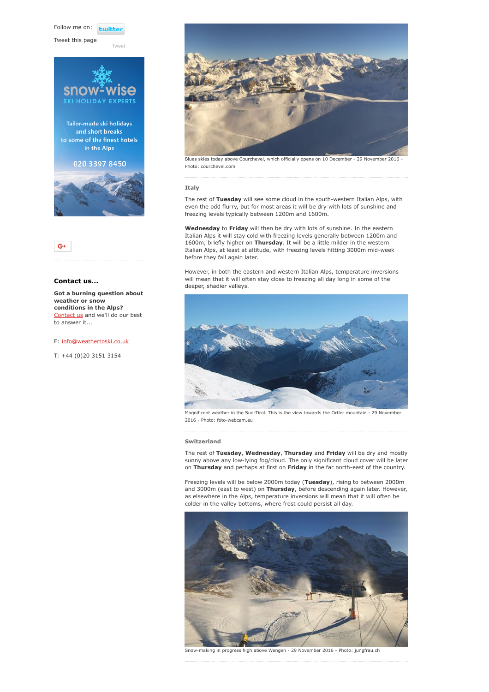Follow me on: *<u>twitte</u>* 

[Tweet](https://twitter.com/intent/tweet?original_referer=https%3A%2F%2Fwww.weathertoski.co.uk%2Fweather-snow%2Farchive%2Fsnow-forecast-29-11-2016%2F&ref_src=twsrc%5Etfw&text=Weather%20to%20ski%20-%20Snow%20forecast%20-%2029%20November%202016&tw_p=tweetbutton&url=https%3A%2F%2Fwww.weathertoski.co.uk%2Fweather-snow%2Farchive%2Fsnow-forecast-29-11-2016%2F)

Tweet this page







# Contact us...

Got a burning question about weather or snow conditions in the Alps? [Contact us](https://www.weathertoski.co.uk/about-1/contact-us/) and we'll do our best to answer it...

### E: [info@weathertoski.co.uk](mailto:fraser@weathertoski.co.uk)

T: +44 (0)20 3151 3154



Blues skies today above Courchevel, which officially opens on 10 December - 29 November 2016 Photo: courchevel.com

#### **Ttaly**

The rest of Tuesday will see some cloud in the south-western Italian Alps, with even the odd flurry, but for most areas it will be dry with lots of sunshine and freezing levels typically between 1200m and 1600m.

Wednesday to Friday will then be dry with lots of sunshine. In the eastern Italian Alps it will stay cold with freezing levels generally between 1200m and 1600m, briefly higher on Thursday. It will be a little milder in the western Italian Alps, at least at altitude, with freezing levels hitting 3000m mid-week before they fall again later.

However, in both the eastern and western Italian Alps, temperature inversions will mean that it will often stay close to freezing all day long in some of the deeper, shadier valleys.



Magnificent weather in the Sud-Tirol. This is the view towards the Ortler mountain - 29 November 2016 - Photo: foto-webcam.eu

#### Switzerland

The rest of Tuesday, Wednesday, Thursday and Friday will be dry and mostly sunny above any low-lying fog/cloud. The only significant cloud cover will be later on Thursday and perhaps at first on Friday in the far north-east of the country.

Freezing levels will be below 2000m today (Tuesday), rising to between 2000m and 3000m (east to west) on Thursday, before descending again later. However, as elsewhere in the Alps, temperature inversions will mean that it will often be colder in the valley bottoms, where frost could persist all day.



Snow-making in progress high above Wengen - 29 November 2016 - Photo: jungfrau.ch